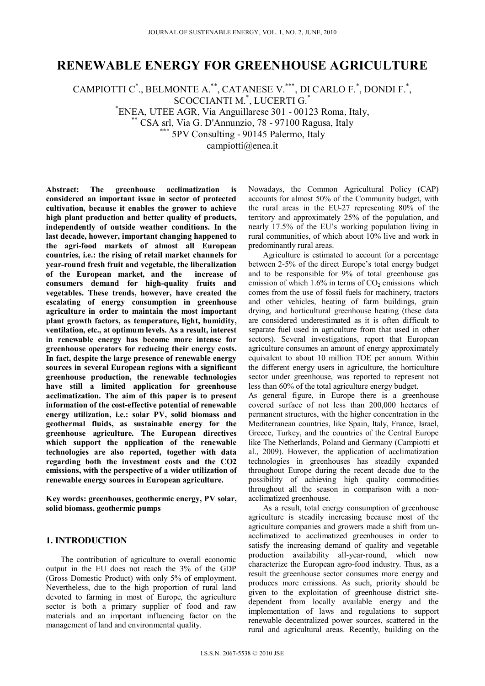# **RENEWABLE ENERGY FOR GREENHOUSE AGRICULTURE**

CAMPIOTTI C<sup>\*</sup>., BELMONTE A.<sup>\*\*</sup>, CATANESE V.<sup>\*\*\*</sup>, DI CARLO F.<sup>\*</sup>, DONDI F.<sup>\*</sup>, SCOCCIANTI M.\* , LUCERTI G.\* <sup>\*</sup>ENEA, UTEE AGR, Via Anguillarese 301 - 00123 Roma, Italy,  $\text{CSA}$  srl, Via G. D'Annunzio, 78 - 97100 Ragusa, Italy<br>\*\*\* 5PV Consulting - 90145 Palermo, Italy campiotti@enea.it

**Abstract: The greenhouse acclimatization is considered an important issue in sector of protected cultivation, because it enables the grower to achieve high plant production and better quality of products, independently of outside weather conditions. In the last decade, however, important changing happened to the agri-food markets of almost all European countries, i.e.: the rising of retail market channels for year-round fresh fruit and vegetable, the liberalization of the European market, and the increase of consumers demand for high-quality fruits and vegetables. These trends, however, have created the escalating of energy consumption in greenhouse agriculture in order to maintain the most important plant growth factors, as temperature, light, humidity, ventilation, etc., at optimum levels. As a result, interest in renewable energy has become more intense for greenhouse operators for reducing their energy costs. In fact, despite the large presence of renewable energy sources in several European regions with a significant greenhouse production, the renewable technologies have still a limited application for greenhouse acclimatization. The aim of this paper is to present information of the cost-effective potential of renewable energy utilization, i.e.: solar PV, solid biomass and geothermal fluids, as sustainable energy for the greenhouse agriculture. The European directives which support the application of the renewable technologies are also reported, together with data regarding both the investment costs and the CO2 emissions, with the perspective of a wider utilization of renewable energy sources in European agriculture.** 

**Key words: greenhouses, geothermic energy, PV solar, solid biomass, geothermic pumps** 

## **1. INTRODUCTION**

The contribution of agriculture to overall economic output in the EU does not reach the 3% of the GDP (Gross Domestic Product) with only 5% of employment. Nevertheless, due to the high proportion of rural land devoted to farming in most of Europe, the agriculture sector is both a primary supplier of food and raw materials and an important influencing factor on the management of land and environmental quality.

Nowadays, the Common Agricultural Policy (CAP) accounts for almost 50% of the Community budget, with the rural areas in the EU-27 representing 80% of the territory and approximately 25% of the population, and nearly 17.5% of the EU's working population living in rural communities, of which about 10% live and work in predominantly rural areas.

Agriculture is estimated to account for a percentage between 2-5% of the direct Europe's total energy budget and to be responsible for 9% of total greenhouse gas emission of which  $1.6\%$  in terms of  $CO<sub>2</sub>$  emissions which comes from the use of fossil fuels for machinery, tractors and other vehicles, heating of farm buildings, grain drying, and horticultural greenhouse heating (these data are considered underestimated as it is often difficult to separate fuel used in agriculture from that used in other sectors). Several investigations, report that European agriculture consumes an amount of energy approximately equivalent to about 10 million TOE per annum. Within the different energy users in agriculture, the horticulture sector under greenhouse, was reported to represent not less than 60% of the total agriculture energy budget.

As general figure, in Europe there is a greenhouse covered surface of not less than 200,000 hectares of permanent structures, with the higher concentration in the Mediterranean countries, like Spain, Italy, France, Israel, Greece, Turkey, and the countries of the Central Europe like The Netherlands, Poland and Germany (Campiotti et al., 2009). However, the application of acclimatization technologies in greenhouses has steadily expanded throughout Europe during the recent decade due to the possibility of achieving high quality commodities throughout all the season in comparison with a nonacclimatized greenhouse.

As a result, total energy consumption of greenhouse agriculture is steadily increasing because most of the agriculture companies and growers made a shift from unacclimatized to acclimatized greenhouses in order to satisfy the increasing demand of quality and vegetable production availability all-year-round, which now characterize the European agro-food industry. Thus, as a result the greenhouse sector consumes more energy and produces more emissions. As such, priority should be given to the exploitation of greenhouse district sitedependent from locally available energy and the implementation of laws and regulations to support renewable decentralized power sources, scattered in the rural and agricultural areas. Recently, building on the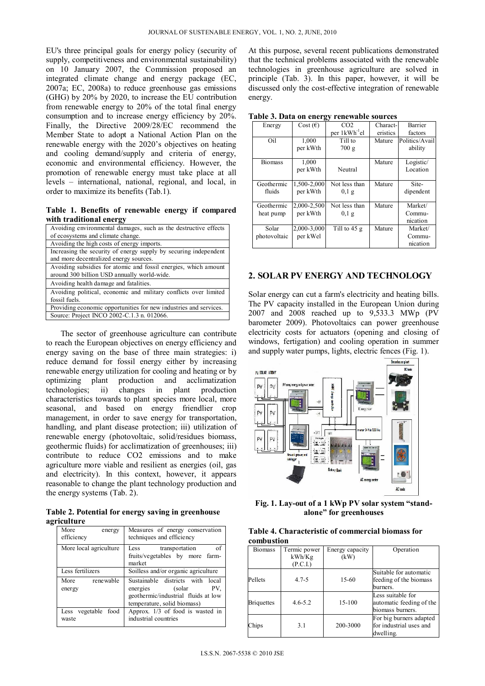EU's three principal goals for energy policy (security of supply, competitiveness and environmental sustainability) on 10 January 2007, the Commission proposed an integrated climate change and energy package (EC, 2007a; EC, 2008a) to reduce greenhouse gas emissions (GHG) by 20% by 2020, to increase the EU contribution from renewable energy to 20% of the total final energy consumption and to increase energy efficiency by 20%. Finally, the Directive 2009/28/EC recommend the Member State to adopt a National Action Plan on the renewable energy with the 2020's objectives on heating and cooling demand/supply and criteria of energy, economic and environmental efficiency. However, the promotion of renewable energy must take place at all levels – international, national, regional, and local, in order to maximize its benefits (Tab.1).

**Table 1. Benefits of renewable energy if compared with traditional energy**

| Avoiding environmental damages, such as the destructive effects                                                |  |  |  |
|----------------------------------------------------------------------------------------------------------------|--|--|--|
| of ecosystems and climate change.                                                                              |  |  |  |
| Avoiding the high costs of energy imports.                                                                     |  |  |  |
| Increasing the security of energy supply by securing independent                                               |  |  |  |
| and more decentralized energy sources.                                                                         |  |  |  |
| Avoiding subsidies for atomic and fossil energies, which amount<br>around 300 billion USD annually world-wide. |  |  |  |
| Avoiding health damage and fatalities.                                                                         |  |  |  |
| Avoiding political, economic and military conflicts over limited                                               |  |  |  |
| fossil fuels.                                                                                                  |  |  |  |
| Providing economic opportunities for new industries and services.                                              |  |  |  |
| Source: Project INCO 2002-C.1.3 n. 012066.                                                                     |  |  |  |

The sector of greenhouse agriculture can contribute to reach the European objectives on energy efficiency and energy saving on the base of three main strategies: i) reduce demand for fossil energy either by increasing renewable energy utilization for cooling and heating or by optimizing plant production and acclimatization technologies; ii) changes in plant production characteristics towards to plant species more local, more seasonal, and based on energy friendlier crop management, in order to save energy for transportation, handling, and plant disease protection; iii) utilization of renewable energy (photovoltaic, solid/residues biomass, geothermic fluids) for acclimatization of greenhouses; iii) contribute to reduce CO2 emissions and to make agriculture more viable and resilient as energies (oil, gas and electricity). In this context, however, it appears reasonable to change the plant technology production and the energy systems (Tab. 2).

**Table 2. Potential for energy saving in greenhouse agriculture**

| More<br>energy<br>efficiency | Measures of energy conservation<br>techniques and efficiency                                                                           |  |
|------------------------------|----------------------------------------------------------------------------------------------------------------------------------------|--|
| More local agriculture       | of<br>Less<br>transportation                                                                                                           |  |
|                              | fruits/vegetables by more farm-<br>market                                                                                              |  |
| Less fertilizers             | Soilless and/or organic agriculture                                                                                                    |  |
| renewable<br>More<br>energy  | Sustainable districts with<br>local<br>PV.<br>(solar<br>energies<br>geothermic/industrial fluids at low<br>temperature, solid biomass) |  |
| Less vegetable food<br>waste | Approx. $1/3$ of food is wasted in<br>industrial countries                                                                             |  |

At this purpose, several recent publications demonstrated that the technical problems associated with the renewable technologies in greenhouse agriculture are solved in principle (Tab. 3). In this paper, however, it will be discussed only the cost-effective integration of renewable energy.

| $\mathbf{u}$ and $\mathbf{v}$ , bath on the $\mathbf{v}$ |                   | r enewable sources        |          |                |
|----------------------------------------------------------|-------------------|---------------------------|----------|----------------|
| Energy                                                   | Cost $(\epsilon)$ | CO <sub>2</sub>           | Charact- | Barrier        |
|                                                          |                   | per 1kWh <sup>-1</sup> el | eristics | factors        |
| Oil                                                      | 1,000             | Till to                   | Mature   | Politics/Avail |
|                                                          | per kWth          | 700 g                     |          | ability        |
| Biomass                                                  | 1,000             |                           | Mature   | Logistic/      |
|                                                          | per kWth          | Neutral                   |          | Location       |
| Geothermic                                               | 1,500-2,000       | Not less than             | Mature   | Site-          |
| fluids                                                   | per kWth          | $0,1$ g                   |          | dipendent      |
| Geothermic                                               | 2,000-2,500       | Not less than             | Mature   | Market/        |
| heat pump                                                | per kWth          | $0,1$ g                   |          | Commu-         |
|                                                          |                   |                           |          | nication       |
| Solar                                                    | 2,000-3,000       | Till to $45 g$            | Mature   | Market/        |
| photovoltaic                                             | per kWel          |                           |          | Commu-         |
|                                                          |                   |                           |          | nication       |

**Table 3. Data on energy renewable sources**

## **2. SOLAR PV ENERGY AND TECHNOLOGY**

Solar energy can cut a farm's electricity and heating bills. The PV capacity installed in the European Union during 2007 and 2008 reached up to 9,533.3 MWp (PV barometer 2009). Photovoltaics can power greenhouse electricity costs for actuators (opening and closing of windows, fertigation) and cooling operation in summer and supply water pumps, lights, electric fences (Fig. 1).



**Fig. 1. Lay-out of a 1 kWp PV solar system "standalone" for greenhouses** 

| Table 4. Characteristic of commercial biomass for |  |  |
|---------------------------------------------------|--|--|
| combustion                                        |  |  |

| <b>Biomass</b>    | Termic power<br>kWh/Kg | Energy capacity<br>(kW) | Operation                                                         |
|-------------------|------------------------|-------------------------|-------------------------------------------------------------------|
|                   | (P.C.I.)               |                         |                                                                   |
| Pellets           | $4.7 - 5$              | 15-60                   | Suitable for automatic                                            |
|                   |                        |                         | feeding of the biomass<br>burners.                                |
| <b>Briquettes</b> | $4.6 - 5.2$            | 15-100                  | Less suitable for<br>automatic feeding of the<br>biomass burners. |
| Chips             | 3.1                    | 200-3000                | For big burners adapted<br>for industrial uses and<br>dwelling.   |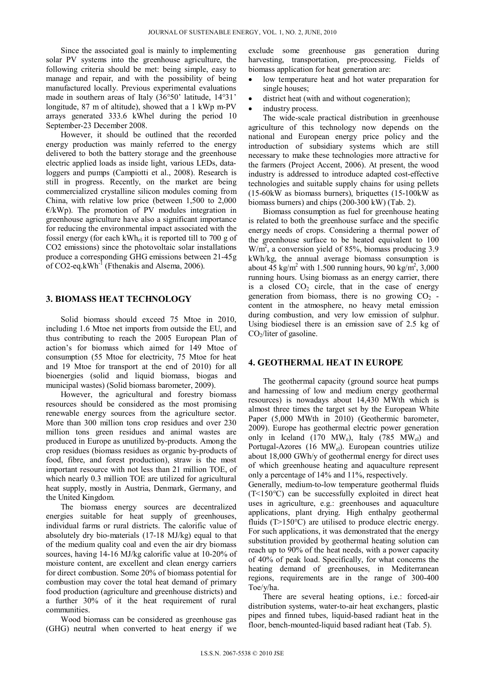Since the associated goal is mainly to implementing solar PV systems into the greenhouse agriculture, the following criteria should be met: being simple, easy to manage and repair, and with the possibility of being manufactured locally. Previous experimental evaluations made in southern areas of Italy (36°50' latitude, 14°31' longitude, 87 m of altitude), showed that a 1 kWp m-PV arrays generated 333.6 kWhel during the period 10 September-23 December 2008.

However, it should be outlined that the recorded energy production was mainly referred to the energy delivered to both the battery storage and the greenhouse electric applied loads as inside light, various LEDs, dataloggers and pumps (Campiotti et al., 2008). Research is still in progress. Recently, on the market are being commercialized crystalline silicon modules coming from China, with relative low price (between 1,500 to 2,000  $E/kWp$ ). The promotion of PV modules integration in greenhouse agriculture have also a significant importance for reducing the environmental impact associated with the fossil energy (for each kWhel it is reported till to 700 g of CO2 emissions) since the photovoltaic solar installations produce a corresponding GHG emissions between 21-45g of  $CO2$ -eq.kWh<sup>-1</sup> (Fthenakis and Alsema, 2006).

## **3. BIOMASS HEAT TECHNOLOGY**

Solid biomass should exceed 75 Mtoe in 2010, including 1.6 Mtoe net imports from outside the EU, and thus contributing to reach the 2005 European Plan of action's for biomass which aimed for 149 Mtoe of consumption (55 Mtoe for electricity, 75 Mtoe for heat and 19 Mtoe for transport at the end of 2010) for all bioenergies (solid and liquid biomass, biogas and municipal wastes) (Solid biomass barometer, 2009).

However, the agricultural and forestry biomass resources should be considered as the most promising renewable energy sources from the agriculture sector. More than 300 million tons crop residues and over 230 million tons green residues and animal wastes are produced in Europe as unutilized by-products. Among the crop residues (biomass residues as organic by-products of food, fibre, and forest production), straw is the most important resource with not less than 21 million TOE, of which nearly 0.3 million TOE are utilized for agricultural heat supply, mostly in Austria, Denmark, Germany, and the United Kingdom.

The biomass energy sources are decentralized energies suitable for heat supply of greenhouses, individual farms or rural districts. The calorific value of absolutely dry bio-materials (17-18 MJ/kg) equal to that of the medium quality coal and even the air dry biomass sources, having 14-16 MJ/kg calorific value at 10-20% of moisture content, are excellent and clean energy carriers for direct combustion. Some 20% of biomass potential for combustion may cover the total heat demand of primary food production (agriculture and greenhouse districts) and a further 30% of it the heat requirement of rural communities.

Wood biomass can be considered as greenhouse gas (GHG) neutral when converted to heat energy if we exclude some greenhouse gas generation during harvesting, transportation, pre-processing. Fields of biomass application for heat generation are:

- low temperature heat and hot water preparation for single houses;
- district heat (with and without cogeneration);
- industry process.

The wide-scale practical distribution in greenhouse agriculture of this technology now depends on the national and European energy price policy and the introduction of subsidiary systems which are still necessary to make these technologies more attractive for the farmers (Project Accent, 2006). At present, the wood industry is addressed to introduce adapted cost-effective technologies and suitable supply chains for using pellets (15-60kW as biomass burners), briquettes (15-100kW as biomass burners) and chips (200-300 kW) (Tab. 2).

Biomass consumption as fuel for greenhouse heating is related to both the greenhouse surface and the specific energy needs of crops. Considering a thermal power of the greenhouse surface to be heated equivalent to 100  $W/m<sup>2</sup>$ , a conversion yield of 85%, biomass producing 3.9 kWh/kg, the annual average biomass consumption is about  $45 \text{ kg/m}^2$  with 1.500 running hours, 90 kg/m<sup>2</sup>, 3,000 running hours. Using biomass as an energy carrier, there is a closed  $CO<sub>2</sub>$  circle, that in the case of energy generation from biomass, there is no growing  $CO<sub>2</sub>$ . content in the atmosphere, no heavy metal emission during combustion, and very low emission of sulphur. Using biodiesel there is an emission save of 2.5 kg of  $CO<sub>2</sub>/liter$  of gasoline.

#### **4. GEOTHERMAL HEAT IN EUROPE**

The geothermal capacity (ground source heat pumps and harnessing of low and medium energy geothermal resources) is nowadays about 14,430 MWth which is almost three times the target set by the European White Paper (5,000 MWth in 2010) (Geothermic barometer, 2009). Europe has geothermal electric power generation only in Iceland (170  $MW_e$ ), Italy (785  $MW_{el}$ ) and Portugal-Azores (16 MW<sub>el</sub>). European countries utilize about 18,000 GWh/y of geothermal energy for direct uses of which greenhouse heating and aquaculture represent only a percentage of 14% and 11%, respectively.

Generally, medium-to-low temperature geothermal fluids (T<150°C) can be successfully exploited in direct heat uses in agriculture, e.g.: greenhouses and aquaculture applications, plant drying. High enthalpy geothermal fluids  $(T>150^{\circ}C)$  are utilised to produce electric energy. For such applications, it was demonstrated that the energy substitution provided by geothermal heating solution can reach up to 90% of the heat needs, with a power capacity of 40% of peak load. Specifically, for what concerns the heating demand of greenhouses, in Mediterranean regions, requirements are in the range of 300-400 Toe/y/ha.

There are several heating options, i.e.: forced-air distribution systems, water-to-air heat exchangers, plastic pipes and finned tubes, liquid-based radiant heat in the floor, bench-mounted-liquid based radiant heat (Tab. 5).